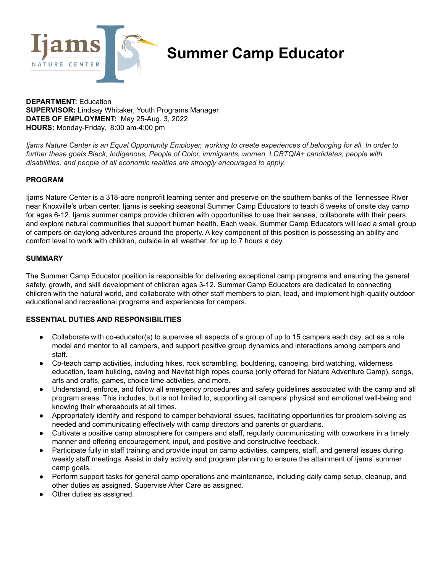

# **Summer Camp Educator**

**DEPARTMENT:** Education **SUPERVISOR:** Lindsay Whitaker, Youth Programs Manager **DATES OF EMPLOYMENT:** May 25-Aug. 3, 2022 **HOURS:** Monday-Friday, 8:00 am-4:00 pm

Ijams Nature Center is an Equal Opportunity Employer, working to create experiences of belonging for all. In order to *further these goals Black, Indigenous, People of Color, immigrants, women, LGBTQIA+ candidates, people with disabilities, and people of all economic realities are strongly encouraged to apply.*

#### **PROGRAM**

Ijams Nature Center is a 318-acre nonprofit learning center and preserve on the southern banks of the Tennessee River near Knoxville's urban center. Ijams is seeking seasonal Summer Camp Educators to teach 8 weeks of onsite day camp for ages 6-12. Ijams summer camps provide children with opportunities to use their senses, collaborate with their peers, and explore natural communities that support human health. Each week, Summer Camp Educators will lead a small group of campers on daylong adventures around the property. A key component of this position is possessing an ability and comfort level to work with children, outside in all weather, for up to 7 hours a day.

#### **SUMMARY**

The Summer Camp Educator position is responsible for delivering exceptional camp programs and ensuring the general safety, growth, and skill development of children ages 3-12. Summer Camp Educators are dedicated to connecting children with the natural world, and collaborate with other staff members to plan, lead, and implement high-quality outdoor educational and recreational programs and experiences for campers.

### **ESSENTIAL DUTIES AND RESPONSIBILITIES**

- Collaborate with co-educator(s) to supervise all aspects of a group of up to 15 campers each day, act as a role model and mentor to all campers, and support positive group dynamics and interactions among campers and staff.
- Co-teach camp activities, including hikes, rock scrambling, bouldering, canoeing, bird watching, wilderness education, team building, caving and Navitat high ropes course (only offered for Nature Adventure Camp), songs, arts and crafts, games, choice time activities, and more.
- Understand, enforce, and follow all emergency procedures and safety guidelines associated with the camp and all program areas. This includes, but is not limited to, supporting all campers' physical and emotional well-being and knowing their whereabouts at all times.
- Appropriately identify and respond to camper behavioral issues, facilitating opportunities for problem-solving as needed and communicating effectively with camp directors and parents or guardians.
- Cultivate a positive camp atmosphere for campers and staff, regularly communicating with coworkers in a timely manner and offering encouragement, input, and positive and constructive feedback.
- Participate fully in staff training and provide input on camp activities, campers, staff, and general issues during weekly staff meetings. Assist in daily activity and program planning to ensure the attainment of Ijams' summer camp goals.
- Perform support tasks for general camp operations and maintenance, including daily camp setup, cleanup, and other duties as assigned. Supervise After Care as assigned.
- Other duties as assigned.